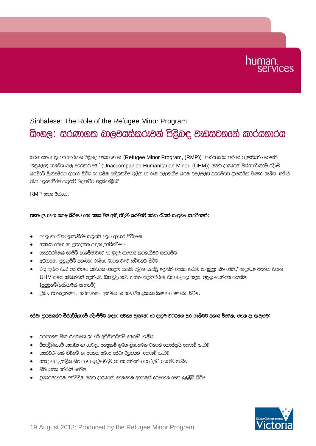# human.

### Sinhalese: The Role of the Refugee Minor Program

## සිංහල: සර*ණා*ගත බාලවයස්කරුවන් පිළිබඳ වැඩසටහනේ කාරයභාරය

සරණාගත බාල වයස්කරුවන් පිළිබඳ වැඩසටහනේ (Refugee Minor Program, (RMP)) කාරයභාරය වන්නේ දෙමාපියන් නොමැති 'ගුදකලාව මානුමීය බාල වයස්කරුවන්' (Unaccompanied Humanitarian Minor, (UHM)) යේවා දායකයන් වික්රෝරියාවේ පදිංචි කරවීමේ කිුයාවලියට ආධාර කිරීම හා කලින් මැදිහත්වීම තුලින් හා රැක බලාගැනීම කරන පවුල්වලට සහයවීමට පාගෝගික පියවර ගැනීම මඟින් රැක බලාගැනීමේ සැලසුම් බිඳවැටීම වළක්වාලීමයි.

RMP සහය වන්නේ:

### පහත දෑ වෙත ගොමු කිරීමට හෝ සහය වීම ආදි පදිංචි කරවීමේ සේවා රැසක් සෘජුවම සැපයීමෙන්:

- පවල හා රැකබලාගැනීමේ සැලසම් වලට ආධාර කිරීමෙන්
- $\bullet$   $\phantom{i}$  cසෟබ $x$  cස්වා හා උපදේශන සඳහා පුරවිශවීමට
- $\bullet$   $\phantom{i}$  caන්ටරලින්ක් ගෙවීම් සාකච්ජාවලට හා මුදල් පාලනය කරගැනීමට සහායවීම
- $\bullet$   $\bullet$  අධනාපන, පුහුණුවීම් සහ/ගෝ රැකියා මාරග වලට සම්බන්ධ කිරීම
- $\bullet$  රතු කුරුස වැනි අනාවරණ රස්වයක් රයාදවා ගැනීම තුලින් නැතිවූ ඥාතීන් රසායා ගැනීම හා සදස නීති රස්වා/ සංකුමණ එජන්ත වරුන්  $UHM$  සමග සම්බන්ධවී ඥාතීන්ව ඕස්රට්ලියාවේ නැවත පදිංචිකිරීමේ වීසා බලපතු සඳහා අනුගාහකත්වය සැපයීම.  $($ සුදසුනමි $/$ හැකියාවක් ඇත්නමි $)$
- කීඩා, විනෝදාත්මක, සංස්කෘතික, ආගමික හා සාමාජීය කියාකාරකම් හා සම්බන්ධ කි**ී**ම.

#### cස්වා දායකයන්ට ඕස්රටුිලියාරව් පදිංචිවීම සඳහා අවශෂ කුසළතා හා දැනුම වරධනය කර ගැනීමට සහාය වීරමන්, පහත දෑ ඇතුළුව:

- සරණාගත වීසා ස්වභාවය හා එහි අයිතිවාසිකම් තේරුම් ගැනීම
- $\bullet$  @ිස්රට්ලියාරව් රසෟබූ හා රරවදූ පහසුකම් කුමය කියාත්මක වන්රෙන් රකරස්දැයි රත්රුම් ගැනීම
- $\bullet$   $\phantom{i}$  oසන්ටරලින්ක් හිමිකම් හා අගෙක් සමාජ oස්වා වයුගයන්  $\phantom{i}$  oත්රුම් ගැනීම
- $\bullet$   $\phantom{a}$  cපාද හා පද්ගලික නිවාස හා ඉඳම් හිටම් කොයා ගන්නේ කෙසේදැයි තේරුම් ගැනීම
- $\bullet$   $\bullet$  හිති කුමය පේරුම් ගැනීම
- <u>ද</u>ුෂ්කරතාවයන් අත්විඳින 6ස්වා දායකයන් 6වනු6වන් අනෙකුත් 6ස්වාවන් 6වත ඉල්ලීම් කිරීම